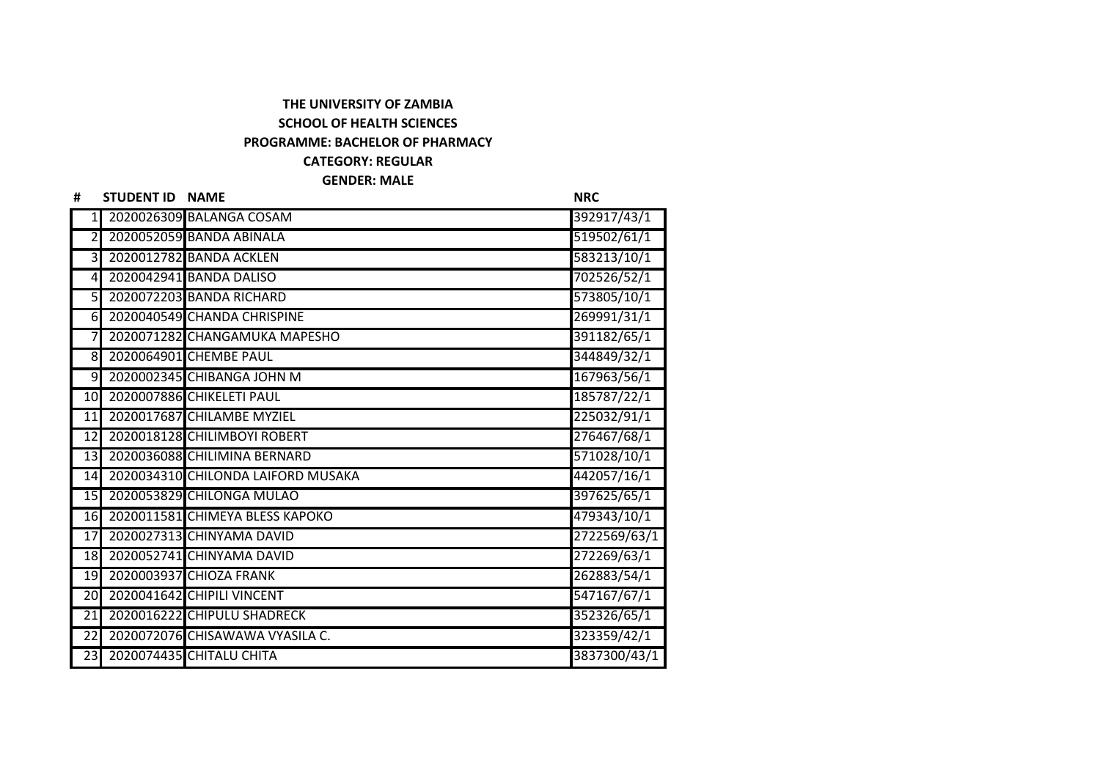## **THE UNIVERSITY OF ZAMBIA SCHOOL OF HEALTH SCIENCES PROGRAMME: BACHELOR OF PHARMACY CATEGORY: REGULAR GENDER: MALE**

| #               | <b>STUDENT ID NAME</b> |                                    | <b>NRC</b>   |
|-----------------|------------------------|------------------------------------|--------------|
| $\mathbf{1}$    |                        | 2020026309 BALANGA COSAM           | 392917/43/1  |
| $\overline{2}$  |                        | 2020052059 BANDA ABINALA           | 519502/61/1  |
| 3               |                        | 2020012782 BANDA ACKLEN            | 583213/10/1  |
| $\overline{4}$  |                        | 2020042941 BANDA DALISO            | 702526/52/1  |
| 51              |                        | 2020072203 BANDA RICHARD           | 573805/10/1  |
| 6               |                        | 2020040549 CHANDA CHRISPINE        | 269991/31/1  |
|                 |                        | 2020071282 CHANGAMUKA MAPESHO      | 391182/65/1  |
| 8               |                        | 2020064901 CHEMBE PAUL             | 344849/32/1  |
| 9               |                        | 2020002345 CHIBANGA JOHN M         | 167963/56/1  |
| 10              |                        | 2020007886 CHIKELETI PAUL          | 185787/22/1  |
| 11              |                        | 2020017687 CHILAMBE MYZIEL         | 225032/91/1  |
| 12              |                        | 2020018128 CHILIMBOYI ROBERT       | 276467/68/1  |
| 13              |                        | 2020036088 CHILIMINA BERNARD       | 571028/10/1  |
| 14              |                        | 2020034310 CHILONDA LAIFORD MUSAKA | 442057/16/1  |
| 15              |                        | 2020053829 CHILONGA MULAO          | 397625/65/1  |
| 16              |                        | 2020011581 CHIMEYA BLESS KAPOKO    | 479343/10/1  |
| 17              |                        | 2020027313 CHINYAMA DAVID          | 2722569/63/1 |
| 18              |                        | 2020052741 CHINYAMA DAVID          | 272269/63/1  |
| 19              |                        | 2020003937 CHIOZA FRANK            | 262883/54/1  |
| 20              |                        | 2020041642 CHIPILI VINCENT         | 547167/67/1  |
| 21              |                        | 2020016222 CHIPULU SHADRECK        | 352326/65/1  |
| $\overline{22}$ |                        | 2020072076 CHISAWAWA VYASILA C.    | 323359/42/1  |
| 23              |                        | 2020074435 CHITALU CHITA           | 3837300/43/1 |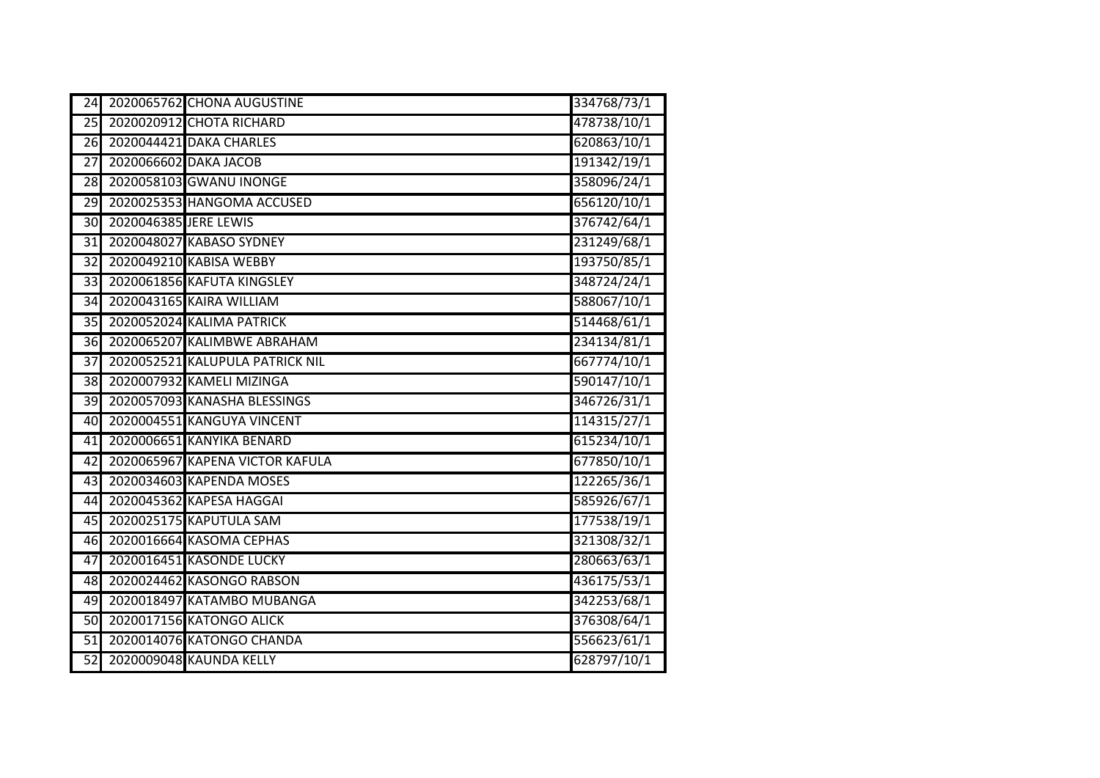| 24 |                       | 2020065762 CHONA AUGUSTINE      | 334768/73/1 |
|----|-----------------------|---------------------------------|-------------|
| 25 |                       | 2020020912 CHOTA RICHARD        | 478738/10/1 |
| 26 |                       | 2020044421 DAKA CHARLES         | 620863/10/1 |
| 27 |                       | 2020066602 DAKA JACOB           | 191342/19/1 |
| 28 |                       | 2020058103 GWANU INONGE         | 358096/24/1 |
| 29 |                       | 2020025353 HANGOMA ACCUSED      | 656120/10/1 |
| 30 | 2020046385 JERE LEWIS |                                 | 376742/64/1 |
| 31 |                       | 2020048027 KABASO SYDNEY        | 231249/68/1 |
| 32 |                       | 2020049210 KABISA WEBBY         | 193750/85/1 |
| 33 |                       | 2020061856 KAFUTA KINGSLEY      | 348724/24/1 |
| 34 |                       | 2020043165 KAIRA WILLIAM        | 588067/10/1 |
| 35 |                       | 2020052024 KALIMA PATRICK       | 514468/61/1 |
| 36 |                       | 2020065207 KALIMBWE ABRAHAM     | 234134/81/1 |
| 37 |                       | 2020052521 KALUPULA PATRICK NIL | 667774/10/1 |
| 38 |                       | 2020007932 KAMELI MIZINGA       | 590147/10/1 |
| 39 |                       | 2020057093 KANASHA BLESSINGS    | 346726/31/1 |
| 40 |                       | 2020004551 KANGUYA VINCENT      | 114315/27/1 |
| 41 |                       | 2020006651 KANYIKA BENARD       | 615234/10/1 |
| 42 |                       | 2020065967 KAPENA VICTOR KAFULA | 677850/10/1 |
| 43 |                       | 2020034603 KAPENDA MOSES        | 122265/36/1 |
| 44 |                       | 2020045362 KAPESA HAGGAI        | 585926/67/1 |
| 45 |                       | 2020025175 KAPUTULA SAM         | 177538/19/1 |
| 46 |                       | 2020016664 KASOMA CEPHAS        | 321308/32/1 |
| 47 |                       | 2020016451 KASONDE LUCKY        | 280663/63/1 |
| 48 |                       | 2020024462 KASONGO RABSON       | 436175/53/1 |
| 49 |                       | 2020018497 KATAMBO MUBANGA      | 342253/68/1 |
| 50 |                       | 2020017156 KATONGO ALICK        | 376308/64/1 |
| 51 |                       | 2020014076 KATONGO CHANDA       | 556623/61/1 |
| 52 |                       | 2020009048 KAUNDA KELLY         | 628797/10/1 |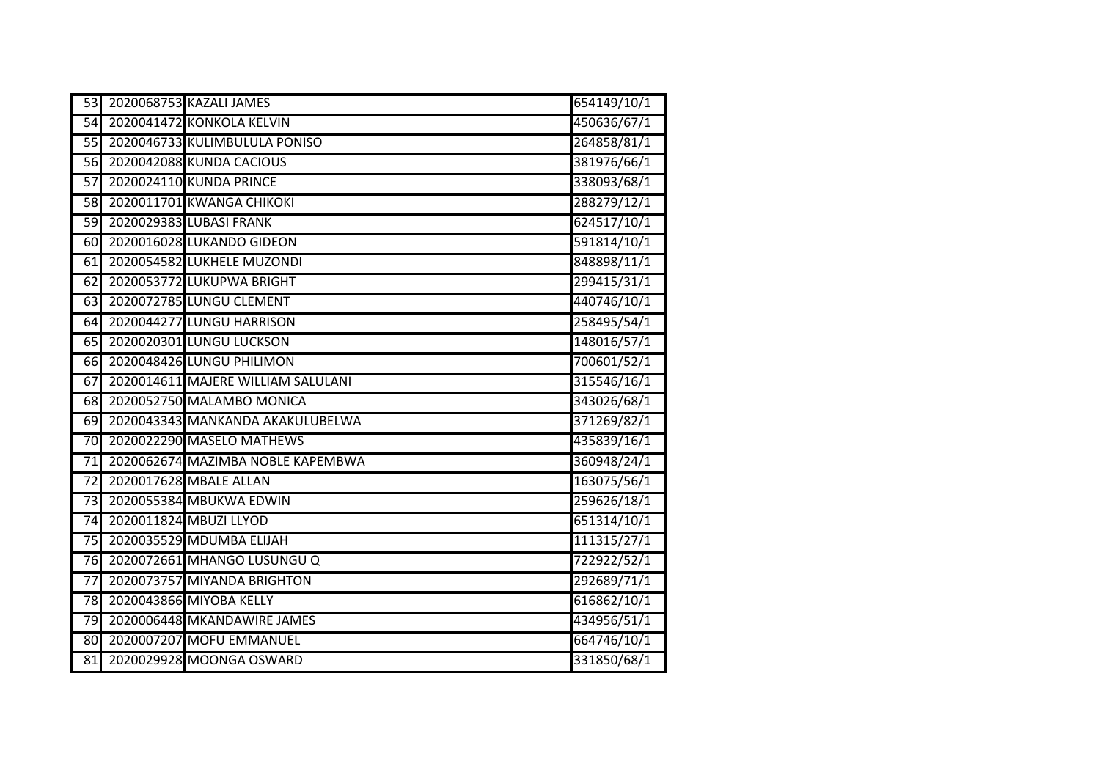| 53              | 2020068753 KAZALI JAMES            | 654149/10/1 |
|-----------------|------------------------------------|-------------|
| $\overline{54}$ | 2020041472 KONKOLA KELVIN          | 450636/67/1 |
| 55              | 2020046733 KULIMBULULA PONISO      | 264858/81/1 |
| 56              | 2020042088 KUNDA CACIOUS           | 381976/66/1 |
| 57              | 2020024110 KUNDA PRINCE            | 338093/68/1 |
| 58              | 2020011701 KWANGA CHIKOKI          | 288279/12/1 |
| 59              | 2020029383 LUBASI FRANK            | 624517/10/1 |
| 60              | 2020016028 LUKANDO GIDEON          | 591814/10/1 |
| 61              | 2020054582 LUKHELE MUZONDI         | 848898/11/1 |
| 62              | 2020053772 LUKUPWA BRIGHT          | 299415/31/1 |
| 63              | 2020072785 LUNGU CLEMENT           | 440746/10/1 |
| 64              | 2020044277 LUNGU HARRISON          | 258495/54/1 |
| 65              | 2020020301 LUNGU LUCKSON           | 148016/57/1 |
| 66              | 2020048426 LUNGU PHILIMON          | 700601/52/1 |
| 67              | 2020014611 MAJERE WILLIAM SALULANI | 315546/16/1 |
| 68              | 2020052750 MALAMBO MONICA          | 343026/68/1 |
| 69              | 2020043343 MANKANDA AKAKULUBELWA   | 371269/82/1 |
| 70              | 2020022290 MASELO MATHEWS          | 435839/16/1 |
| 71              | 2020062674 MAZIMBA NOBLE KAPEMBWA  | 360948/24/1 |
| 72              | 2020017628 MBALE ALLAN             | 163075/56/1 |
| 73              | 2020055384 MBUKWA EDWIN            | 259626/18/1 |
| 74              | 2020011824 MBUZI LLYOD             | 651314/10/1 |
| 75              | 2020035529 MDUMBA ELIJAH           | 111315/27/1 |
| 76              | 2020072661 MHANGO LUSUNGU Q        | 722922/52/1 |
| 77              | 2020073757 MIYANDA BRIGHTON        | 292689/71/1 |
| 78              | 2020043866 MIYOBA KELLY            | 616862/10/1 |
| 79              | 2020006448 MKANDAWIRE JAMES        | 434956/51/1 |
| 80              | 2020007207 MOFU EMMANUEL           | 664746/10/1 |
| 81              | 2020029928 MOONGA OSWARD           | 331850/68/1 |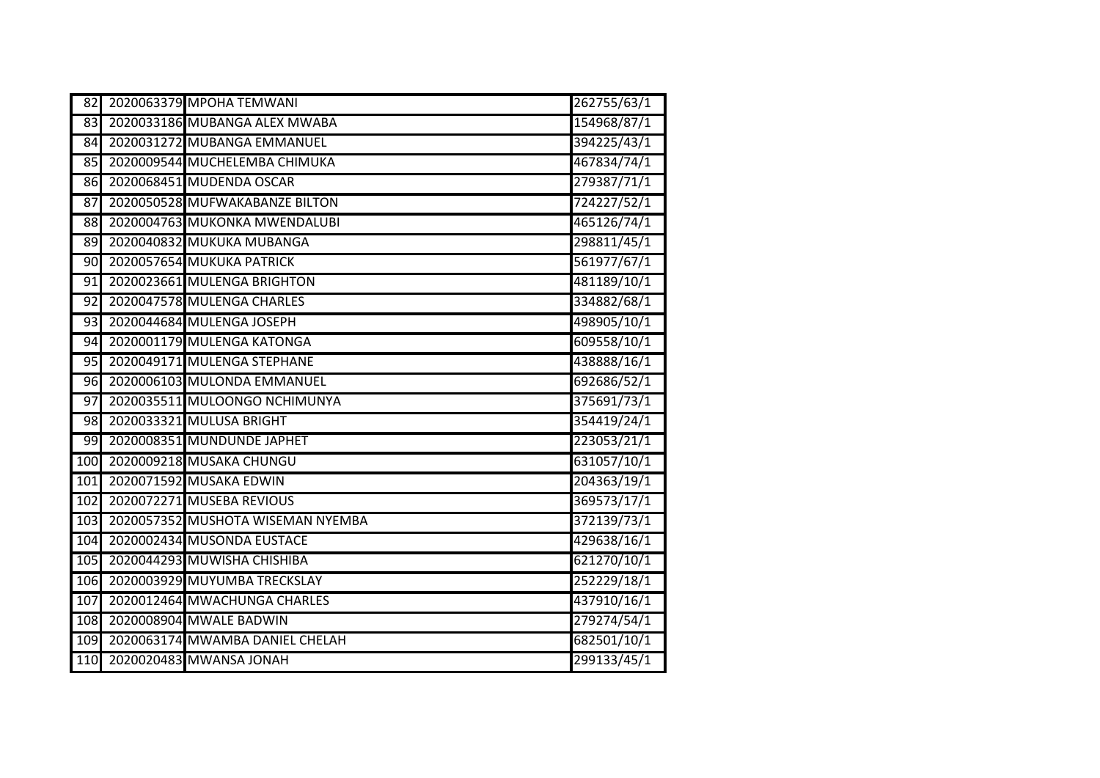| 82               | 2020063379 MPOHA TEMWANI          | 262755/63/1 |
|------------------|-----------------------------------|-------------|
| 83               | 2020033186 MUBANGA ALEX MWABA     | 154968/87/1 |
| 84               | 2020031272 MUBANGA EMMANUEL       | 394225/43/1 |
| 85               | 2020009544 MUCHELEMBA CHIMUKA     | 467834/74/1 |
| 86               | 2020068451 MUDENDA OSCAR          | 279387/71/1 |
| 87               | 2020050528 MUFWAKABANZE BILTON    | 724227/52/1 |
| 88               | 2020004763 MUKONKA MWENDALUBI     | 465126/74/1 |
| 89               | 2020040832 MUKUKA MUBANGA         | 298811/45/1 |
| $\overline{90}$  | 2020057654 MUKUKA PATRICK         | 561977/67/1 |
| 91               | 2020023661 MULENGA BRIGHTON       | 481189/10/1 |
| 92               | 2020047578 MULENGA CHARLES        | 334882/68/1 |
| 93               | 2020044684 MULENGA JOSEPH         | 498905/10/1 |
| 94               | 2020001179 MULENGA KATONGA        | 609558/10/1 |
| 95               | 2020049171 MULENGA STEPHANE       | 438888/16/1 |
| 96               | 2020006103 MULONDA EMMANUEL       | 692686/52/1 |
| 97               | 2020035511 MULOONGO NCHIMUNYA     | 375691/73/1 |
| 98               | 2020033321 MULUSA BRIGHT          | 354419/24/1 |
| 99               | 2020008351 MUNDUNDE JAPHET        | 223053/21/1 |
| $\overline{100}$ | 2020009218 MUSAKA CHUNGU          | 631057/10/1 |
| 101              | 2020071592 MUSAKA EDWIN           | 204363/19/1 |
| 102              | 2020072271 MUSEBA REVIOUS         | 369573/17/1 |
| 103              | 2020057352 MUSHOTA WISEMAN NYEMBA | 372139/73/1 |
| 104              | 2020002434 MUSONDA EUSTACE        | 429638/16/1 |
| 105              | 2020044293 MUWISHA CHISHIBA       | 621270/10/1 |
| 106              | 2020003929 MUYUMBA TRECKSLAY      | 252229/18/1 |
| 107              | 2020012464 MWACHUNGA CHARLES      | 437910/16/1 |
| 108              | 2020008904 MWALE BADWIN           | 279274/54/1 |
| 109              | 2020063174 MWAMBA DANIEL CHELAH   | 682501/10/1 |
| 110              | 2020020483 MWANSA JONAH           | 299133/45/1 |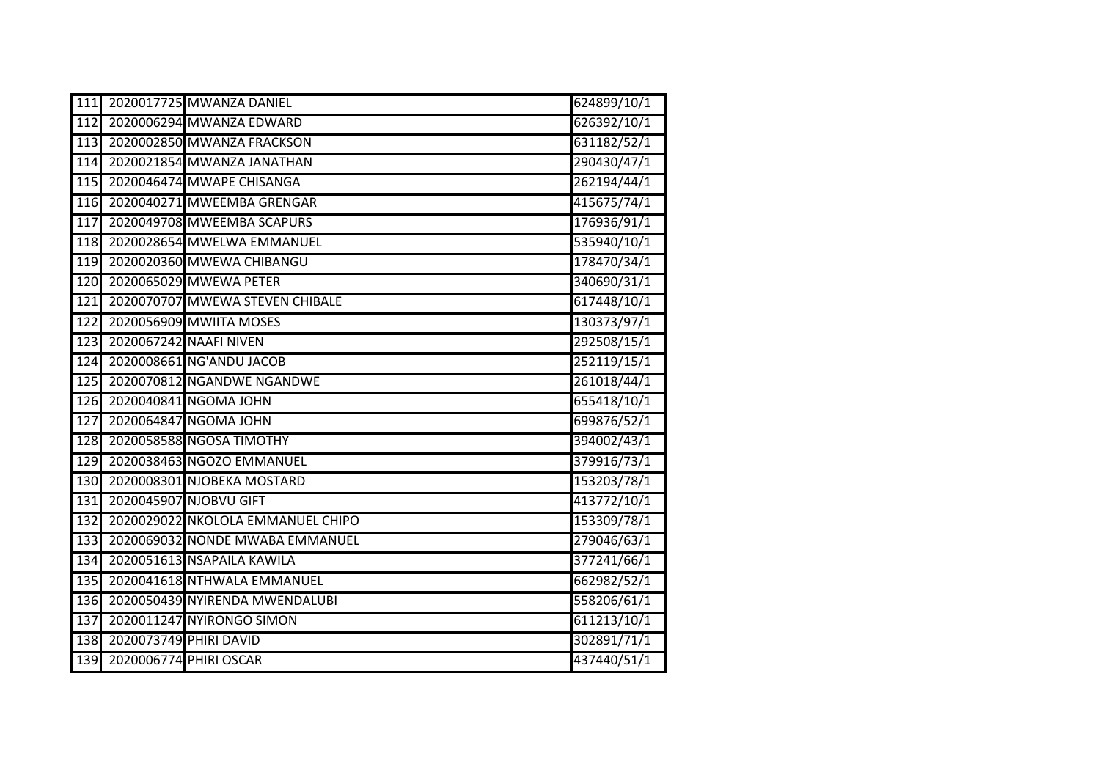| 111              |                        | 2020017725 MWANZA DANIEL          | 624899/10/1 |
|------------------|------------------------|-----------------------------------|-------------|
| $\overline{112}$ |                        | 2020006294 MWANZA EDWARD          | 626392/10/1 |
| 113              |                        | 2020002850 MWANZA FRACKSON        | 631182/52/1 |
| 114              |                        | 2020021854 MWANZA JANATHAN        | 290430/47/1 |
| 115              |                        | 2020046474 MWAPE CHISANGA         | 262194/44/1 |
| 116              |                        | 2020040271 MWEEMBA GRENGAR        | 415675/74/1 |
| 117              |                        | 2020049708 MWEEMBA SCAPURS        | 176936/91/1 |
| 118              |                        | 2020028654 MWELWA EMMANUEL        | 535940/10/1 |
| 119              |                        | 2020020360 MWEWA CHIBANGU         | 178470/34/1 |
| 120              |                        | 2020065029 MWEWA PETER            | 340690/31/1 |
| 121              |                        | 2020070707 MWEWA STEVEN CHIBALE   | 617448/10/1 |
| 122              |                        | 2020056909 MWIITA MOSES           | 130373/97/1 |
| $\overline{123}$ |                        | 2020067242 NAAFI NIVEN            | 292508/15/1 |
| 124              |                        | 2020008661 NG'ANDU JACOB          | 252119/15/1 |
| 125              |                        | 2020070812 NGANDWE NGANDWE        | 261018/44/1 |
| 126              |                        | 2020040841 NGOMA JOHN             | 655418/10/1 |
| $\overline{127}$ |                        | 2020064847 NGOMA JOHN             | 699876/52/1 |
| 128              |                        | 2020058588 NGOSA TIMOTHY          | 394002/43/1 |
| 129              |                        | 2020038463 NGOZO EMMANUEL         | 379916/73/1 |
| 130              |                        | 2020008301 NJOBEKA MOSTARD        | 153203/78/1 |
| $\overline{131}$ |                        | 2020045907 NJOBVU GIFT            | 413772/10/1 |
| 132              |                        | 2020029022 NKOLOLA EMMANUEL CHIPO | 153309/78/1 |
| $\overline{133}$ |                        | 2020069032 NONDE MWABA EMMANUEL   | 279046/63/1 |
| 134              |                        | 2020051613 NSAPAILA KAWILA        | 377241/66/1 |
| 135              |                        | 2020041618 NTHWALA EMMANUEL       | 662982/52/1 |
| 136              |                        | 2020050439 NYIRENDA MWENDALUBI    | 558206/61/1 |
| 137              |                        | 2020011247 NYIRONGO SIMON         | 611213/10/1 |
| 138              | 2020073749 PHIRI DAVID |                                   | 302891/71/1 |
| 139              |                        | 2020006774 PHIRI OSCAR            | 437440/51/1 |